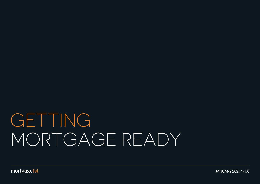# GETTING MORTGAGE READY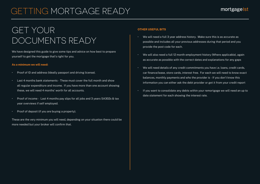# GETTING MORTGAGE READY

### GET YOUR DOCUMENTS READY

We have designed this guide to give some tips and advice on how best to prepare yourself to get the mortgage that's right for you.

#### **As a minimum we will need:**

- Proof of ID and address (Ideally passport and driving license).
- Last 4 months bank statements These must cover the full month and show all regular expenditure and income. If you have more than one account showing these, we will need 4 months' worth for all accounts.
- Proof of income Last 4 months pay slips for all jobs and 3 years SA302s & tax year overviews if self employed.
- $\cdot$  Proof of deposit (if you are buying a property).

These are the very minimum you will need, depending on your situation there could be more needed but your broker will confirm that.

#### **OTHER USEFUL BITS**

- We will need a full 3 year address history. Make sure this is as accurate as possible and includes all your previous addresses during that period and you provide the post code for each.
- We will also need a full 12 month employment history (Where applicable), again as accurate as possible with the correct dates and explanations for any gaps
- We will need details of any credit commitments you have i.e. loans, credit cards, car finance/lease, store cards, interest free. For each we will need to know exact balances, monthly payments and who the provider is - If you don't know this information you can either ask the debt provider or get it from your credit report
- If you want to consolidate any debts within your remortgage we will need an up to date statement for each showing the interest rate.